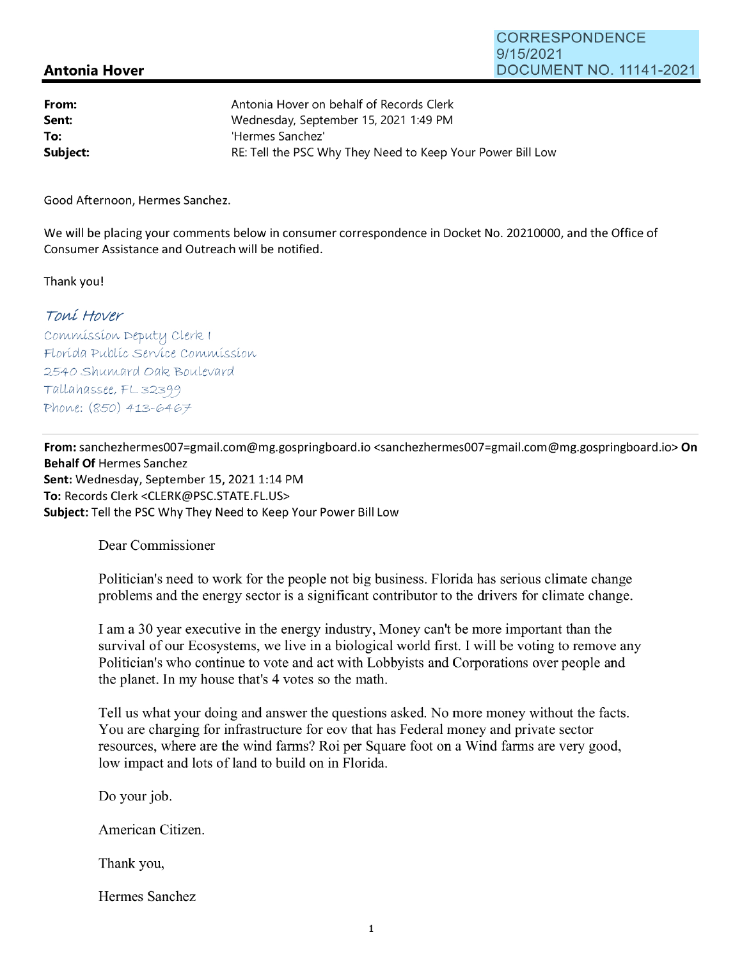## **Antonia Hover**

| From:    | Antonia Hover on behalf of Records Clerk                   |
|----------|------------------------------------------------------------|
| Sent:    | Wednesday, September 15, 2021 1:49 PM                      |
| To:      | 'Hermes Sanchez'                                           |
| Subject: | RE: Tell the PSC Why They Need to Keep Your Power Bill Low |

Good Afternoon, Hermes Sanchez.

We will be placing your comments below in consumer correspondence in Docket No. 20210000, and the Office of Consumer Assistance and Outreach will be notified.

Thank you!

## Toní Hover

Commission Deputy Clerk I Florída Publíc Service Commission 2540 Shumard Oak Boulevard Tallahassee, FL 32399 Phone: (850) 413-6467

**From:** sanchezhermes007=gmai1.com@mg.gospringboard.io <sanchezhermes007=gmai1.com@mg.gospringboard.io> **On Behalf Of** Hermes Sanchez Sent: Wednesday, September 15, 2021 1:14 PM **To:** Records Clerk <CLERK@PSC.STATE.FL.US> **Subject:** Tell the PSC Why They Need to Keep Your Power Bill Low

Dear Commissioner

Politician's need to work for the people not big business. Florida has serious climate change problems and the energy sector is a significant contributor to the drivers for climate change.

I am a 30 year executive in the energy industry, Money can't be more important than the survival of our Ecosystems, we live in a biological world first. I will be voting to remove any Politician's who continue to vote and act with Lobbyists and Corporations over people and the planet. In my house that's 4 votes so the math.

Tell us what your doing and answer the questions asked. No more money without the facts. You are charging for infrastructure for eov that has Federal money and private sector resources, where are the wind farms? Roi per Square foot on a Wind farms are very good, low impact and lots of land to build on in Florida.

Do your job.

American Citizen.

Thank you,

Hermes Sanchez